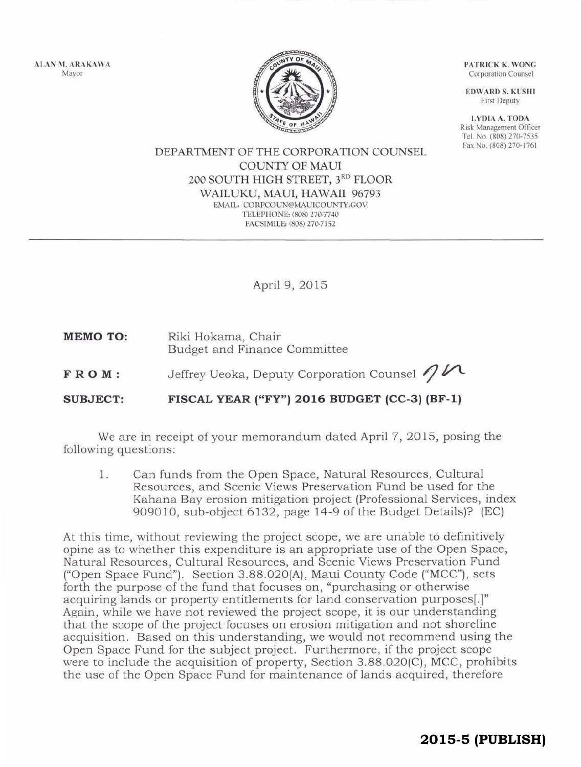ALAN M. ARAKAWA Mayor



PATRICK K. WONG Corporation Counsel

EDWARD S. KUSHI First Deputy

LYDIA A. TODA Risk Management Officer Tel. No. (808) 270-7535 Fax No. (808) 270-1761

## DEPARTMENT OF THE CORPORATION COUNSEL COUNTY OF MAUl 200 SOUTH HIGH STREET, 3RD FLOOR WAILUKU, MAUl, HAWAII 96793 EMAIL: CORPCOUN@MAUICOUNTY.GOV TELEPHONE: (808) 270-7740 FACSIMILE: (808) 270-7152

April 9, 2015

**MEMO TO:**  Riki Hokama, Chair Budget and Finance Committee

**FROM :**  Jeffrey Ueoka, Deputy Corporation Counsel  $\eta$ 

**SUBJECT: FISCAL YEAR ("FY") 2016 BUDGET (CC-3) (BF-1)** 

We are in receipt of your memorandum dated April 7, 2015, posing the following questions:

l. Can funds from the Open Space, Natural Resources, Cultural Resources, and Scenic Views Preservation Fund be used for the Kahana Bay erosion mitigation project (Professional Services, index 909010, sub-object 6132, page 14-9 of the Budget Details)? (EC)

At this time, without reviewing the project scope, we are unable to definitively opine as to whether this expenditure is an appropriate use of the Open Space, Natural Resources, Cultural Resources, and Scenic Views Preservation Fund ("Open Space Fund"). Section 3.88.020(A), Maui County Code ("MCC"), sets forth the purpose of the fund that focuses on, "purchasing or otherwise acquiring lands or property entitlements for land conservation purposes[.]" Again, while we have not reviewed the project scope, it is our understanding that the scope of the project focuses on erosion mitigation and not shoreline acquisition. Based on this understanding, we would not recommend using the Open Space Fund for the subject project. Furthermore, if the project scope were to include the acquisition of property, Section 3.88.020(C), MCC, prohibits the use of the Open Space Fund for maintenance of lands acquired, therefore

**2015-5 (PUBLISH)**